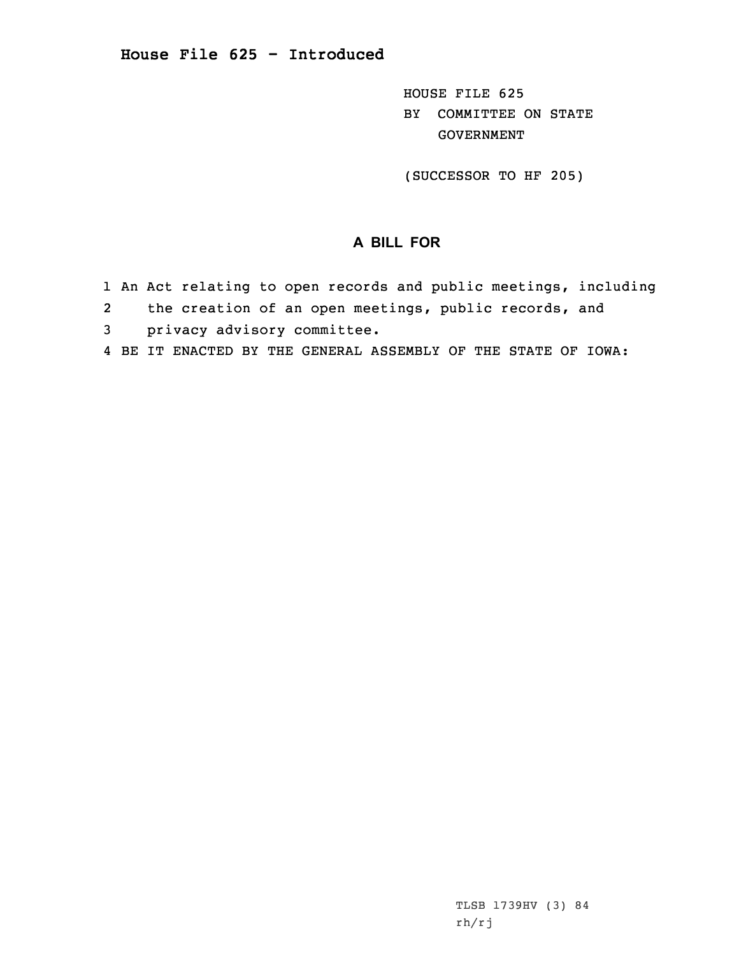HOUSE FILE 625 BY COMMITTEE ON STATE GOVERNMENT

(SUCCESSOR TO HF 205)

## **A BILL FOR**

- 1 An Act relating to open records and public meetings, including
- 2the creation of an open meetings, public records, and
- 3 privacy advisory committee.
- 4 BE IT ENACTED BY THE GENERAL ASSEMBLY OF THE STATE OF IOWA: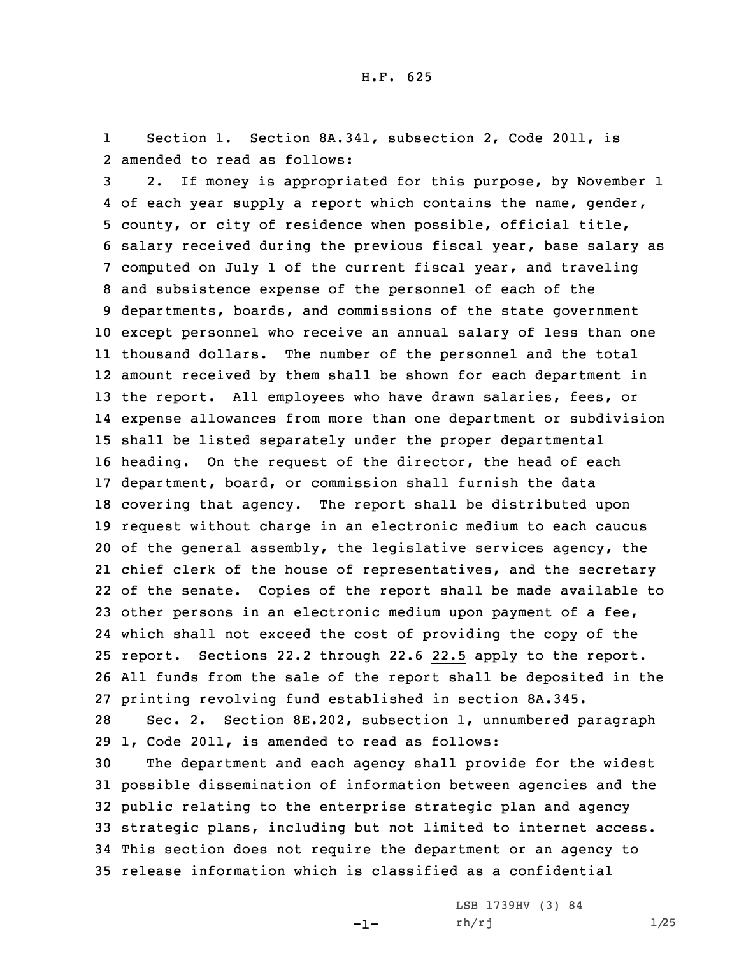1 Section 1. Section 8A.341, subsection 2, Code 2011, is 2 amended to read as follows:

 2. If money is appropriated for this purpose, by November 1 of each year supply <sup>a</sup> report which contains the name, gender, county, or city of residence when possible, official title, salary received during the previous fiscal year, base salary as computed on July 1 of the current fiscal year, and traveling and subsistence expense of the personnel of each of the departments, boards, and commissions of the state government except personnel who receive an annual salary of less than one thousand dollars. The number of the personnel and the total amount received by them shall be shown for each department in the report. All employees who have drawn salaries, fees, or expense allowances from more than one department or subdivision shall be listed separately under the proper departmental heading. On the request of the director, the head of each department, board, or commission shall furnish the data covering that agency. The report shall be distributed upon request without charge in an electronic medium to each caucus of the general assembly, the legislative services agency, the chief clerk of the house of representatives, and the secretary of the senate. Copies of the report shall be made available to other persons in an electronic medium upon payment of <sup>a</sup> fee, which shall not exceed the cost of providing the copy of the 25 report. Sections 22.2 through 22.6 22.5 apply to the report. All funds from the sale of the report shall be deposited in the printing revolving fund established in section 8A.345.

28 Sec. 2. Section 8E.202, subsection 1, unnumbered paragraph 29 1, Code 2011, is amended to read as follows:

 The department and each agency shall provide for the widest possible dissemination of information between agencies and the public relating to the enterprise strategic plan and agency strategic plans, including but not limited to internet access. This section does not require the department or an agency to release information which is classified as <sup>a</sup> confidential

 $-1-$ 

LSB 1739HV (3) 84 rh/rj 1/25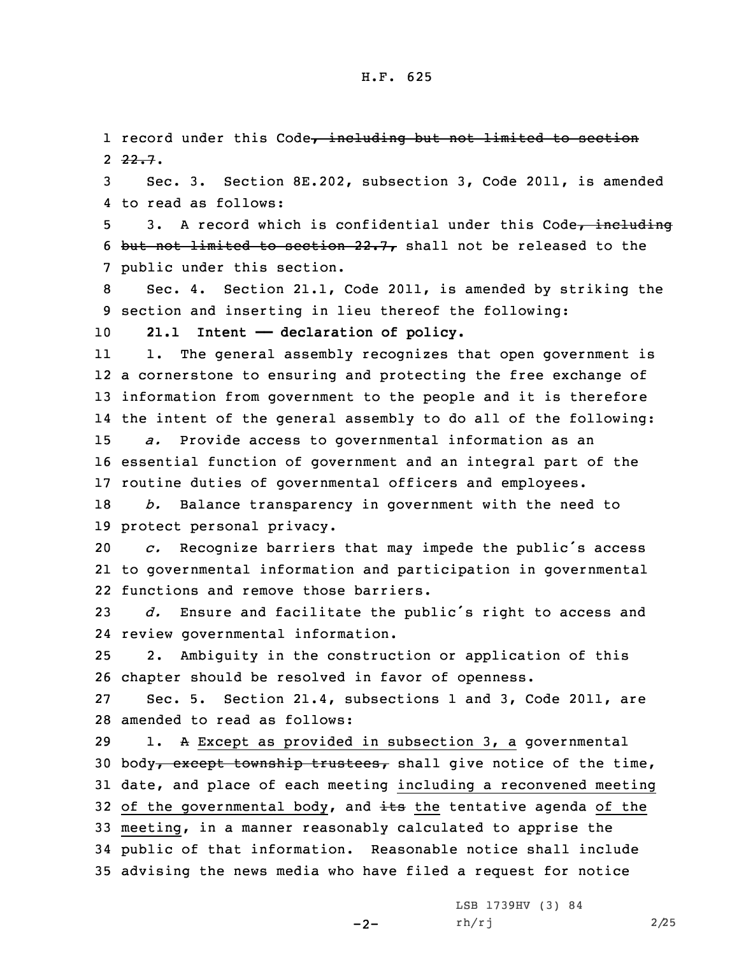1 record under this Code, including but not limited to section 2 <del>22.7</del>.

3 Sec. 3. Section 8E.202, subsection 3, Code 2011, is amended 4 to read as follows:

5 3. A record which is confidential under this Code, including 6 but not limited to section  $22.7$ , shall not be released to the 7 public under this section.

8 Sec. 4. Section 21.1, Code 2011, is amended by striking the 9 section and inserting in lieu thereof the following:

10 **21.1 Intent —— declaration of policy.**

11 1. The general assembly recognizes that open government is <sup>a</sup> cornerstone to ensuring and protecting the free exchange of information from government to the people and it is therefore the intent of the general assembly to do all of the following: *a.* Provide access to governmental information as an essential function of government and an integral part of the routine duties of governmental officers and employees.

18 *b.* Balance transparency in government with the need to 19 protect personal privacy.

<sup>20</sup> *c.* Recognize barriers that may impede the public's access 21 to governmental information and participation in governmental 22 functions and remove those barriers.

<sup>23</sup> *d.* Ensure and facilitate the public's right to access and 24 review governmental information.

25 2. Ambiguity in the construction or application of this 26 chapter should be resolved in favor of openness.

27 Sec. 5. Section 21.4, subsections 1 and 3, Code 2011, are 28 amended to read as follows:

 1. <sup>A</sup> Except as provided in subsection 3, <sup>a</sup> governmental 30 body, except township trustees, shall give notice of the time, date, and place of each meeting including <sup>a</sup> reconvened meeting 32 of the governmental body, and  $\frac{1}{100}$  the tentative agenda of the meeting, in <sup>a</sup> manner reasonably calculated to apprise the public of that information. Reasonable notice shall include advising the news media who have filed <sup>a</sup> request for notice

 $-2-$ 

LSB 1739HV (3) 84  $rh/rj$  2/25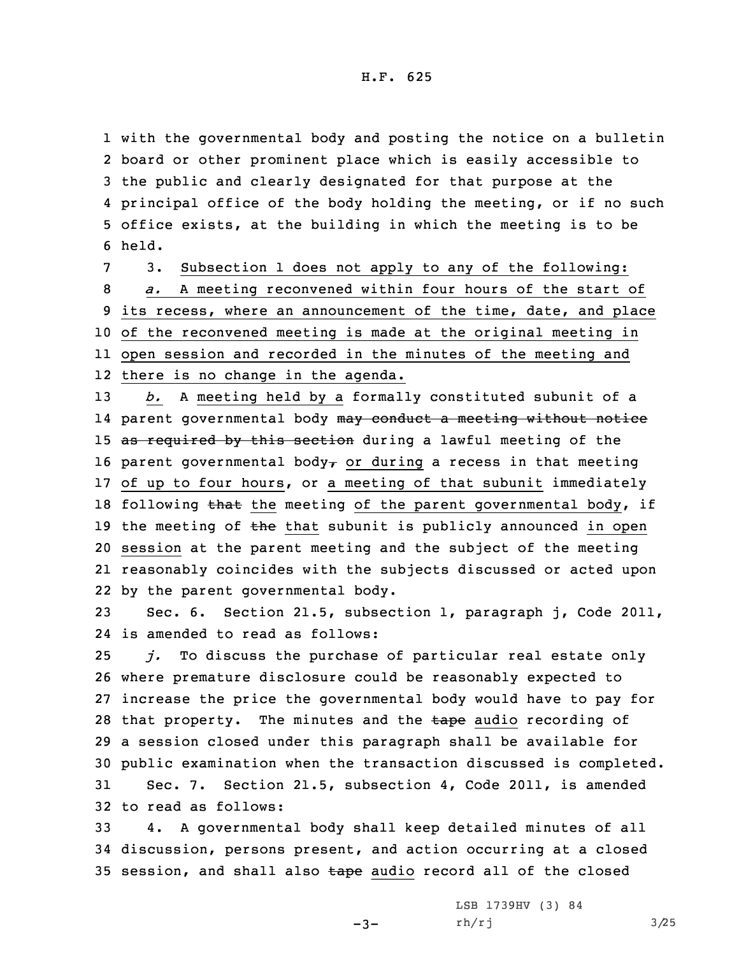with the governmental body and posting the notice on <sup>a</sup> bulletin board or other prominent place which is easily accessible to the public and clearly designated for that purpose at the principal office of the body holding the meeting, or if no such office exists, at the building in which the meeting is to be 6 held.

 3. Subsection 1 does not apply to any of the following: *a.* <sup>A</sup> meeting reconvened within four hours of the start of its recess, where an announcement of the time, date, and place of the reconvened meeting is made at the original meeting in open session and recorded in the minutes of the meeting and there is no change in the agenda.

13 *b.* <sup>A</sup> meeting held by <sup>a</sup> formally constituted subunit of <sup>a</sup> 14 parent governmental body <del>may conduct a meeting without notic</del>e 15 as required by this section during a lawful meeting of the 16 parent governmental body<sub>r</sub> or during a recess in that meeting 17 of up to four hours, or <sup>a</sup> meeting of that subunit immediately 18 following that the meeting of the parent governmental body, if 19 the meeting of  $t$ he that subunit is publicly announced in open 20 session at the parent meeting and the subject of the meeting 21 reasonably coincides with the subjects discussed or acted upon 22 by the parent governmental body.

23 Sec. 6. Section 21.5, subsection 1, paragraph j, Code 2011, 24 is amended to read as follows:

 *j.* To discuss the purchase of particular real estate only where premature disclosure could be reasonably expected to increase the price the governmental body would have to pay for 28 that property. The minutes and the tape audio recording of <sup>a</sup> session closed under this paragraph shall be available for public examination when the transaction discussed is completed. Sec. 7. Section 21.5, subsection 4, Code 2011, is amended to read as follows:

33 4. <sup>A</sup> governmental body shall keep detailed minutes of all 34 discussion, persons present, and action occurring at <sup>a</sup> closed 35 session, and shall also tape audio record all of the closed

-3-

LSB 1739HV (3) 84 rh/rj 3/25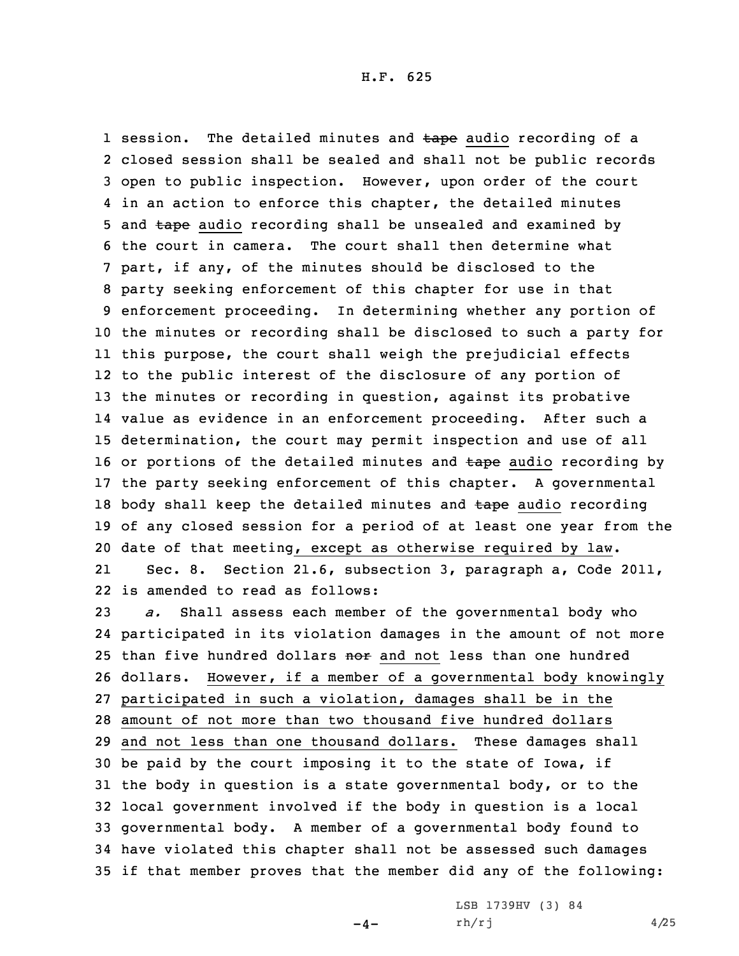1 session. The detailed minutes and tape audio recording of a closed session shall be sealed and shall not be public records open to public inspection. However, upon order of the court in an action to enforce this chapter, the detailed minutes 5 and tape audio recording shall be unsealed and examined by the court in camera. The court shall then determine what part, if any, of the minutes should be disclosed to the party seeking enforcement of this chapter for use in that enforcement proceeding. In determining whether any portion of the minutes or recording shall be disclosed to such <sup>a</sup> party for this purpose, the court shall weigh the prejudicial effects to the public interest of the disclosure of any portion of the minutes or recording in question, against its probative value as evidence in an enforcement proceeding. After such <sup>a</sup> determination, the court may permit inspection and use of all 16 or portions of the detailed minutes and tape audio recording by the party seeking enforcement of this chapter. <sup>A</sup> governmental 18 body shall keep the detailed minutes and tape audio recording of any closed session for <sup>a</sup> period of at least one year from the date of that meeting, except as otherwise required by law. 21 Sec. 8. Section 21.6, subsection 3, paragraph a, Code 2011, is amended to read as follows: *a.* Shall assess each member of the governmental body who

 participated in its violation damages in the amount of not more 25 than five hundred dollars nor and not less than one hundred dollars. However, if <sup>a</sup> member of <sup>a</sup> governmental body knowingly participated in such <sup>a</sup> violation, damages shall be in the amount of not more than two thousand five hundred dollars and not less than one thousand dollars. These damages shall be paid by the court imposing it to the state of Iowa, if the body in question is <sup>a</sup> state governmental body, or to the local government involved if the body in question is <sup>a</sup> local governmental body. <sup>A</sup> member of <sup>a</sup> governmental body found to have violated this chapter shall not be assessed such damages if that member proves that the member did any of the following:

 $-4-$ 

LSB 1739HV (3) 84 rh/rj 4/25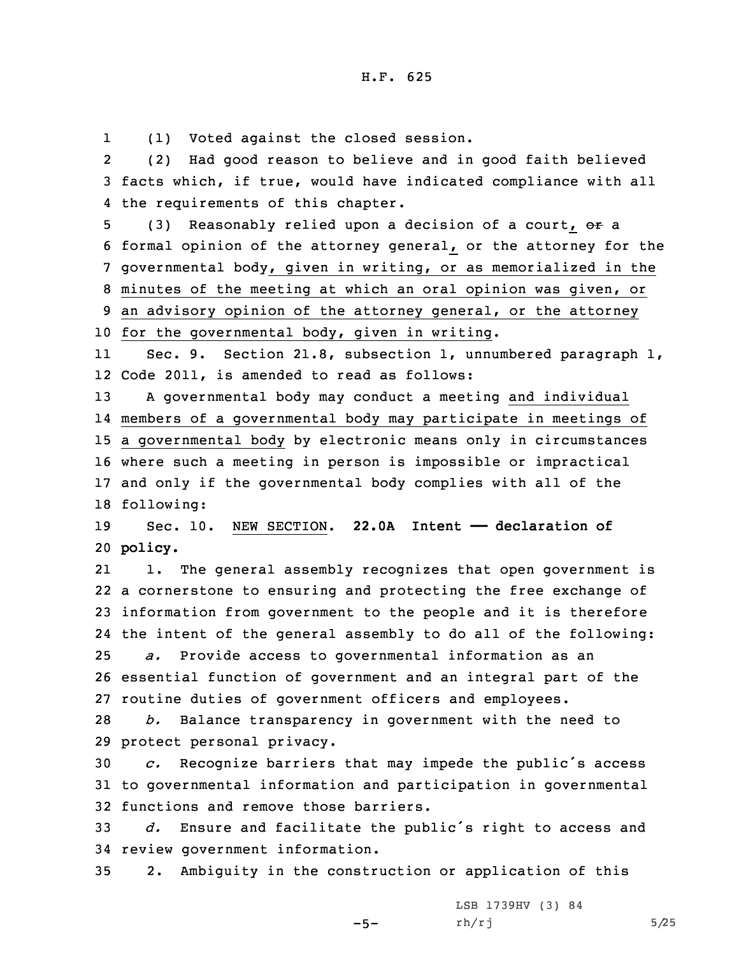1(1) Voted against the closed session.

2 (2) Had good reason to believe and in good faith believed 3 facts which, if true, would have indicated compliance with all 4 the requirements of this chapter.

5 (3) Reasonably relied upon a decision of a court, or a formal opinion of the attorney general, or the attorney for the governmental body, given in writing, or as memorialized in the minutes of the meeting at which an oral opinion was given, or an advisory opinion of the attorney general, or the attorney for the governmental body, given in writing.

11 Sec. 9. Section 21.8, subsection 1, unnumbered paragraph 1, 12 Code 2011, is amended to read as follows:

 <sup>A</sup> governmental body may conduct <sup>a</sup> meeting and individual members of <sup>a</sup> governmental body may participate in meetings of <sup>a</sup> governmental body by electronic means only in circumstances where such <sup>a</sup> meeting in person is impossible or impractical and only if the governmental body complies with all of the following:

19 Sec. 10. NEW SECTION. **22.0A Intent —— declaration of** 20 **policy.**

21 1. The general assembly recognizes that open government is <sup>a</sup> cornerstone to ensuring and protecting the free exchange of information from government to the people and it is therefore the intent of the general assembly to do all of the following: *a.* Provide access to governmental information as an essential function of government and an integral part of the routine duties of government officers and employees.

28 *b.* Balance transparency in government with the need to 29 protect personal privacy.

<sup>30</sup> *c.* Recognize barriers that may impede the public's access 31 to governmental information and participation in governmental 32 functions and remove those barriers.

<sup>33</sup> *d.* Ensure and facilitate the public's right to access and 34 review government information.

35 2. Ambiguity in the construction or application of this

-5-

LSB 1739HV (3) 84 rh/rj 5/25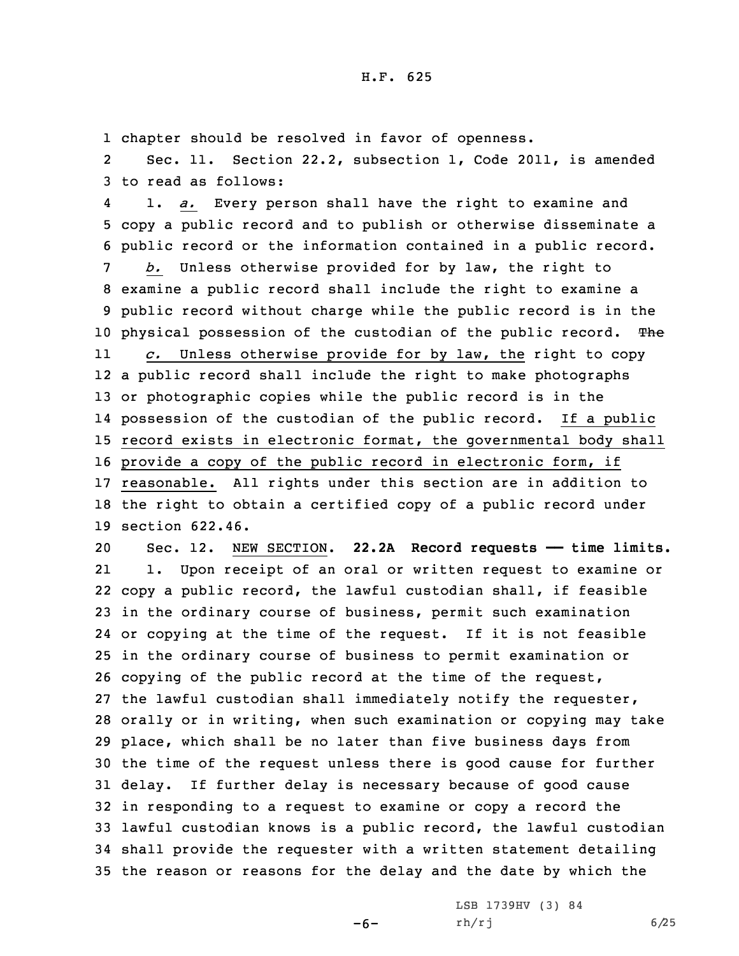1 chapter should be resolved in favor of openness.

2 Sec. 11. Section 22.2, subsection 1, Code 2011, is amended 3 to read as follows:

4 1. *a.* Every person shall have the right to examine and copy <sup>a</sup> public record and to publish or otherwise disseminate <sup>a</sup> public record or the information contained in <sup>a</sup> public record. *b.* Unless otherwise provided for by law, the right to examine <sup>a</sup> public record shall include the right to examine <sup>a</sup> public record without charge while the public record is in the 10 physical possession of the custodian of the public record. The 11 *c.* Unless otherwise provide for by law, the right to copy <sup>a</sup> public record shall include the right to make photographs or photographic copies while the public record is in the possession of the custodian of the public record. If <sup>a</sup> public record exists in electronic format, the governmental body shall provide <sup>a</sup> copy of the public record in electronic form, if reasonable. All rights under this section are in addition to the right to obtain <sup>a</sup> certified copy of <sup>a</sup> public record under section 622.46.

 Sec. 12. NEW SECTION. **22.2A Record requests —— time limits.** 21 1. Upon receipt of an oral or written request to examine or copy <sup>a</sup> public record, the lawful custodian shall, if feasible in the ordinary course of business, permit such examination or copying at the time of the request. If it is not feasible in the ordinary course of business to permit examination or copying of the public record at the time of the request, the lawful custodian shall immediately notify the requester, orally or in writing, when such examination or copying may take place, which shall be no later than five business days from the time of the request unless there is good cause for further delay. If further delay is necessary because of good cause in responding to <sup>a</sup> request to examine or copy <sup>a</sup> record the lawful custodian knows is <sup>a</sup> public record, the lawful custodian shall provide the requester with <sup>a</sup> written statement detailing the reason or reasons for the delay and the date by which the

-6-

LSB 1739HV (3) 84 rh/rj 6/25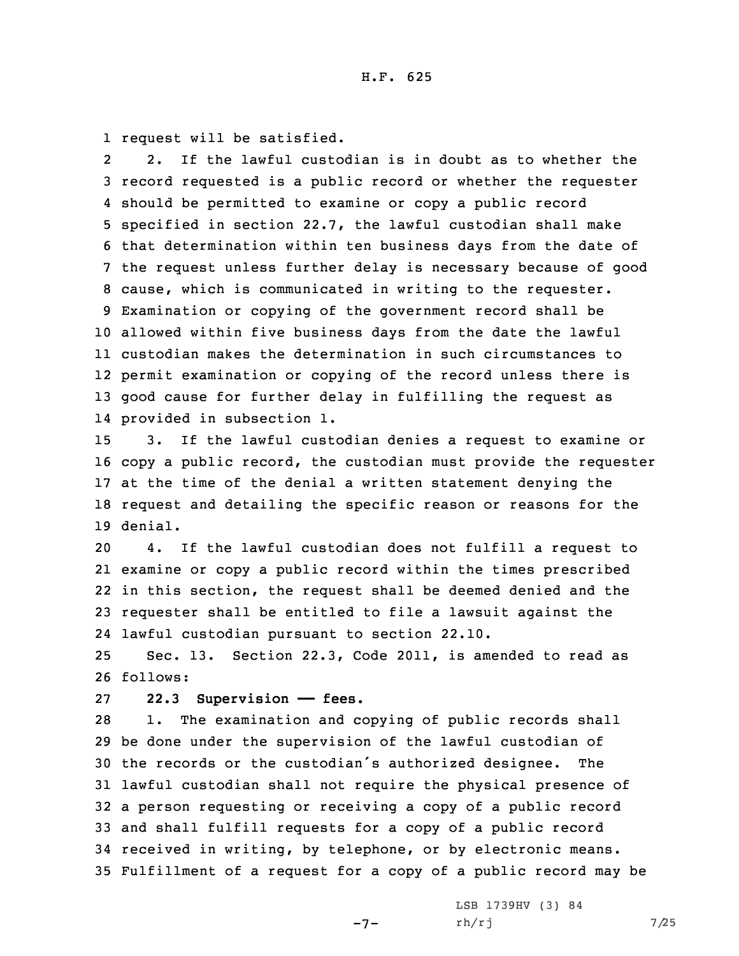1 request will be satisfied.

2 2. If the lawful custodian is in doubt as to whether the record requested is <sup>a</sup> public record or whether the requester should be permitted to examine or copy <sup>a</sup> public record specified in section 22.7, the lawful custodian shall make that determination within ten business days from the date of the request unless further delay is necessary because of good cause, which is communicated in writing to the requester. Examination or copying of the government record shall be allowed within five business days from the date the lawful custodian makes the determination in such circumstances to permit examination or copying of the record unless there is good cause for further delay in fulfilling the request as provided in subsection 1.

 3. If the lawful custodian denies <sup>a</sup> request to examine or copy <sup>a</sup> public record, the custodian must provide the requester at the time of the denial <sup>a</sup> written statement denying the request and detailing the specific reason or reasons for the 19 denial.

 4. If the lawful custodian does not fulfill <sup>a</sup> request to examine or copy <sup>a</sup> public record within the times prescribed in this section, the request shall be deemed denied and the requester shall be entitled to file <sup>a</sup> lawsuit against the lawful custodian pursuant to section 22.10.

25 Sec. 13. Section 22.3, Code 2011, is amended to read as 26 follows:

## 27 **22.3 Supervision —— fees.**

 1. The examination and copying of public records shall be done under the supervision of the lawful custodian of the records or the custodian's authorized designee. The lawful custodian shall not require the physical presence of <sup>a</sup> person requesting or receiving <sup>a</sup> copy of <sup>a</sup> public record and shall fulfill requests for <sup>a</sup> copy of <sup>a</sup> public record received in writing, by telephone, or by electronic means. Fulfillment of <sup>a</sup> request for <sup>a</sup> copy of <sup>a</sup> public record may be

 $-7-$ 

LSB 1739HV (3) 84  $rh/rj$  7/25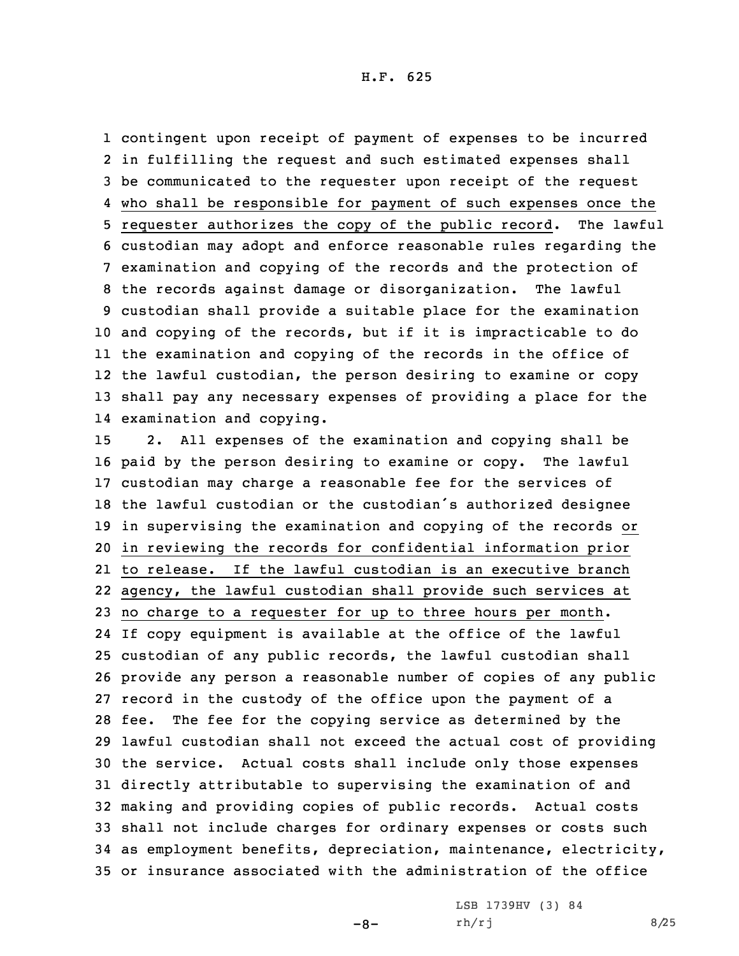contingent upon receipt of payment of expenses to be incurred in fulfilling the request and such estimated expenses shall be communicated to the requester upon receipt of the request who shall be responsible for payment of such expenses once the requester authorizes the copy of the public record. The lawful custodian may adopt and enforce reasonable rules regarding the examination and copying of the records and the protection of the records against damage or disorganization. The lawful custodian shall provide <sup>a</sup> suitable place for the examination and copying of the records, but if it is impracticable to do the examination and copying of the records in the office of the lawful custodian, the person desiring to examine or copy shall pay any necessary expenses of providing <sup>a</sup> place for the examination and copying.

 2. All expenses of the examination and copying shall be paid by the person desiring to examine or copy. The lawful custodian may charge <sup>a</sup> reasonable fee for the services of the lawful custodian or the custodian's authorized designee in supervising the examination and copying of the records or in reviewing the records for confidential information prior to release. If the lawful custodian is an executive branch agency, the lawful custodian shall provide such services at no charge to <sup>a</sup> requester for up to three hours per month. If copy equipment is available at the office of the lawful custodian of any public records, the lawful custodian shall provide any person <sup>a</sup> reasonable number of copies of any public record in the custody of the office upon the payment of <sup>a</sup> fee. The fee for the copying service as determined by the lawful custodian shall not exceed the actual cost of providing the service. Actual costs shall include only those expenses directly attributable to supervising the examination of and making and providing copies of public records. Actual costs shall not include charges for ordinary expenses or costs such as employment benefits, depreciation, maintenance, electricity, or insurance associated with the administration of the office

 $-8-$ 

LSB 1739HV (3) 84 rh/rj 8/25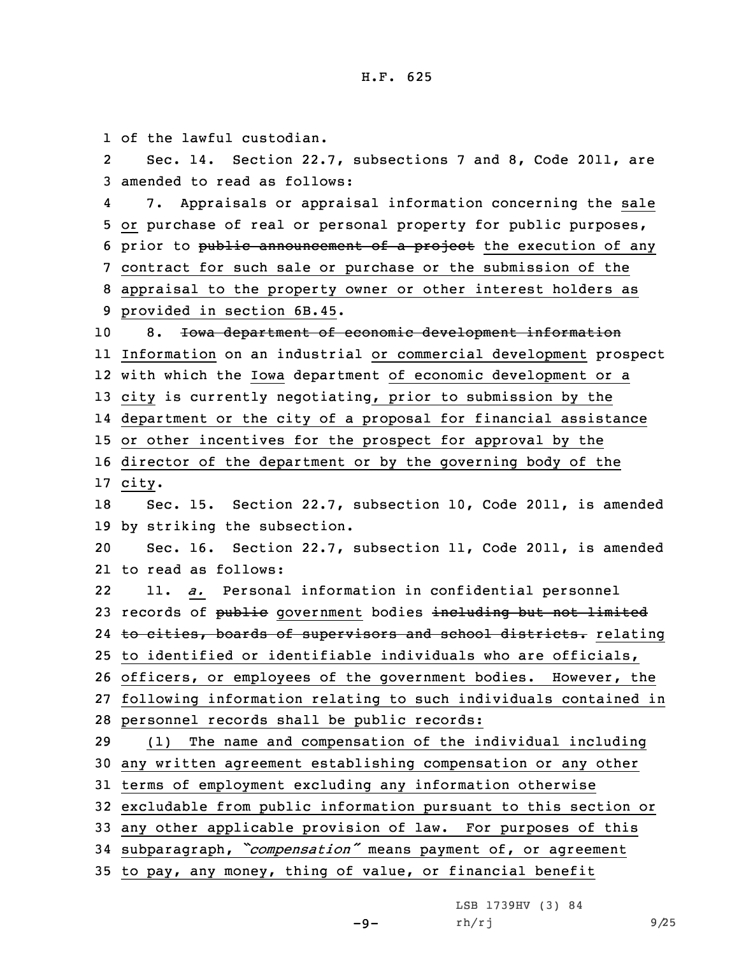of the lawful custodian. 2 Sec. 14. Section 22.7, subsections 7 and 8, Code 2011, are amended to read as follows: 4 7. Appraisals or appraisal information concerning the sale or purchase of real or personal property for public purposes, 6 prior to public announcement of a project the execution of any contract for such sale or purchase or the submission of the appraisal to the property owner or other interest holders as provided in section 6B.45. 8. Iowa department of economic development information Information on an industrial or commercial development prospect with which the Iowa department of economic development or <sup>a</sup> city is currently negotiating, prior to submission by the department or the city of <sup>a</sup> proposal for financial assistance or other incentives for the prospect for approval by the director of the department or by the governing body of the 17 city. Sec. 15. Section 22.7, subsection 10, Code 2011, is amended by striking the subsection. Sec. 16. Section 22.7, subsection 11, Code 2011, is amended to read as follows: 22 11. *a.* Personal information in confidential personnel 23 records of public government bodies including but not limited 24 <del>to cities, boards of supervisors and school districts.</del> relating to identified or identifiable individuals who are officials, officers, or employees of the government bodies. However, the following information relating to such individuals contained in personnel records shall be public records: (1) The name and compensation of the individual including any written agreement establishing compensation or any other terms of employment excluding any information otherwise excludable from public information pursuant to this section or any other applicable provision of law. For purposes of this subparagraph, *"compensation"* means payment of, or agreement to pay, any money, thing of value, or financial benefit

 $-9-$ 

LSB 1739HV (3) 84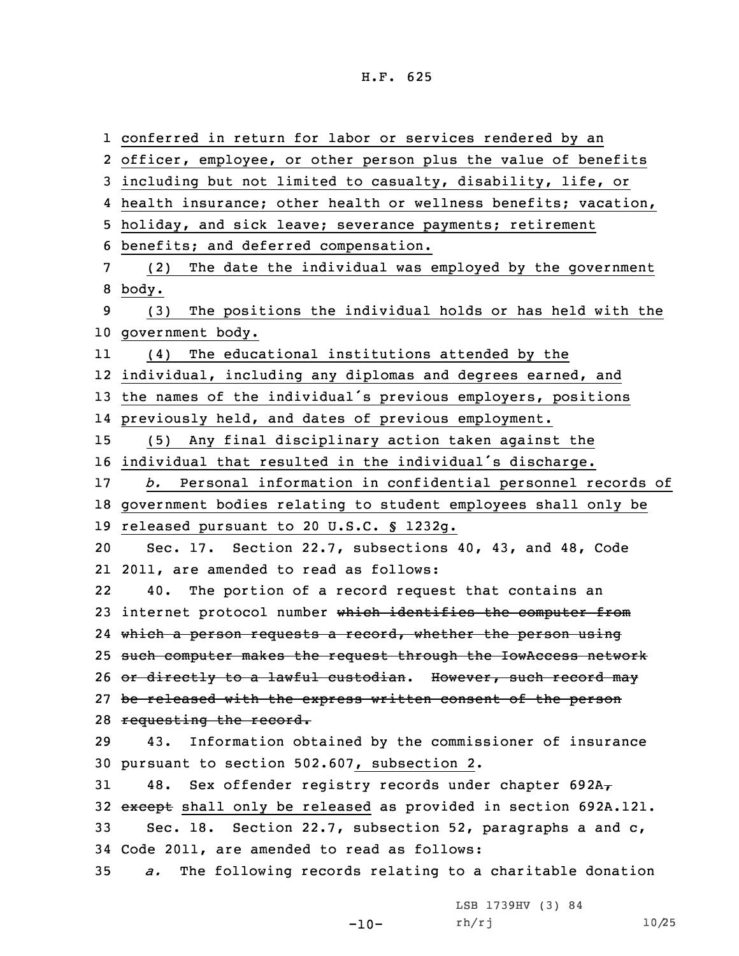H.F. 625

 conferred in return for labor or services rendered by an officer, employee, or other person plus the value of benefits including but not limited to casualty, disability, life, or health insurance; other health or wellness benefits; vacation, holiday, and sick leave; severance payments; retirement benefits; and deferred compensation. (2) The date the individual was employed by the government 8 body. (3) The positions the individual holds or has held with the government body. 11 (4) The educational institutions attended by the individual, including any diplomas and degrees earned, and the names of the individual's previous employers, positions previously held, and dates of previous employment. (5) Any final disciplinary action taken against the individual that resulted in the individual's discharge. *b.* Personal information in confidential personnel records of government bodies relating to student employees shall only be released pursuant to 20 U.S.C. § 1232g. Sec. 17. Section 22.7, subsections 40, 43, and 48, Code 2011, are amended to read as follows: 22 40. The portion of <sup>a</sup> record request that contains an 23 internet protocol number which identifies the computer from which <sup>a</sup> person requests <sup>a</sup> record, whether the person using such computer makes the request through the IowAccess network 26 or directly to a lawful custodian. However, such record may 27 be released with the express written consent of the person 28 requesting the record. 43. Information obtained by the commissioner of insurance pursuant to section 502.607, subsection 2. 31 48. Sex offender registry records under chapter  $692A<sub>T</sub>$ 32 except shall only be released as provided in section 692A.121. Sec. 18. Section 22.7, subsection 52, paragraphs <sup>a</sup> and c, Code 2011, are amended to read as follows: *a.* The following records relating to <sup>a</sup> charitable donation LSB 1739HV (3) 84

rh/rj 10/25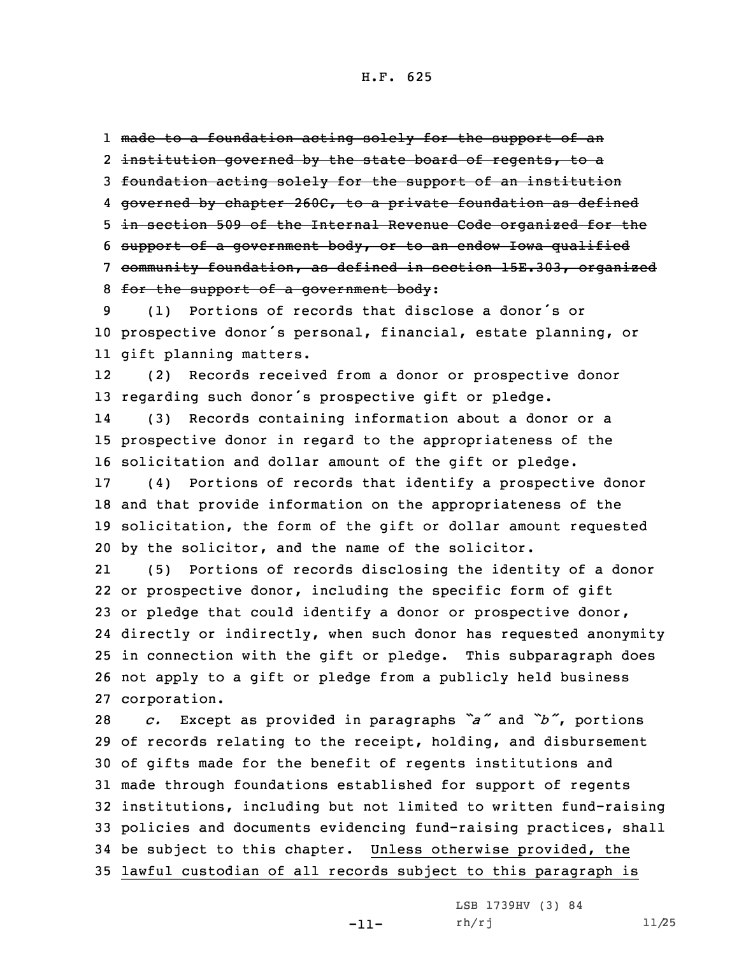1 made to <sup>a</sup> foundation acting solely for the support of an 2 <del>institution governed by the state board of regents, to a</del>

3 foundation acting solely for the support of an institution

4 governed by chapter 260C, to <sup>a</sup> private foundation as defined

5 in section 509 of the Internal Revenue Code organized for the

6 support of <sup>a</sup> government body, or to an endow Iowa qualified

7 community foundation, as defined in section 15E.303, organized 8 for the support of <sup>a</sup> government body:

9 (1) Portions of records that disclose <sup>a</sup> donor's or <sup>10</sup> prospective donor's personal, financial, estate planning, or 11 gift planning matters.

12 (2) Records received from <sup>a</sup> donor or prospective donor <sup>13</sup> regarding such donor's prospective gift or pledge.

14 (3) Records containing information about <sup>a</sup> donor or <sup>a</sup> 15 prospective donor in regard to the appropriateness of the 16 solicitation and dollar amount of the gift or pledge.

 (4) Portions of records that identify <sup>a</sup> prospective donor and that provide information on the appropriateness of the solicitation, the form of the gift or dollar amount requested by the solicitor, and the name of the solicitor.

21 (5) Portions of records disclosing the identity of <sup>a</sup> donor or prospective donor, including the specific form of gift or pledge that could identify <sup>a</sup> donor or prospective donor, directly or indirectly, when such donor has requested anonymity in connection with the gift or pledge. This subparagraph does not apply to <sup>a</sup> gift or pledge from <sup>a</sup> publicly held business corporation.

 *c.* Except as provided in paragraphs *"a"* and *"b"*, portions of records relating to the receipt, holding, and disbursement of gifts made for the benefit of regents institutions and made through foundations established for support of regents institutions, including but not limited to written fund-raising policies and documents evidencing fund-raising practices, shall be subject to this chapter. Unless otherwise provided, the lawful custodian of all records subject to this paragraph is

-11-

LSB 1739HV (3) 84 rh/rj 11/25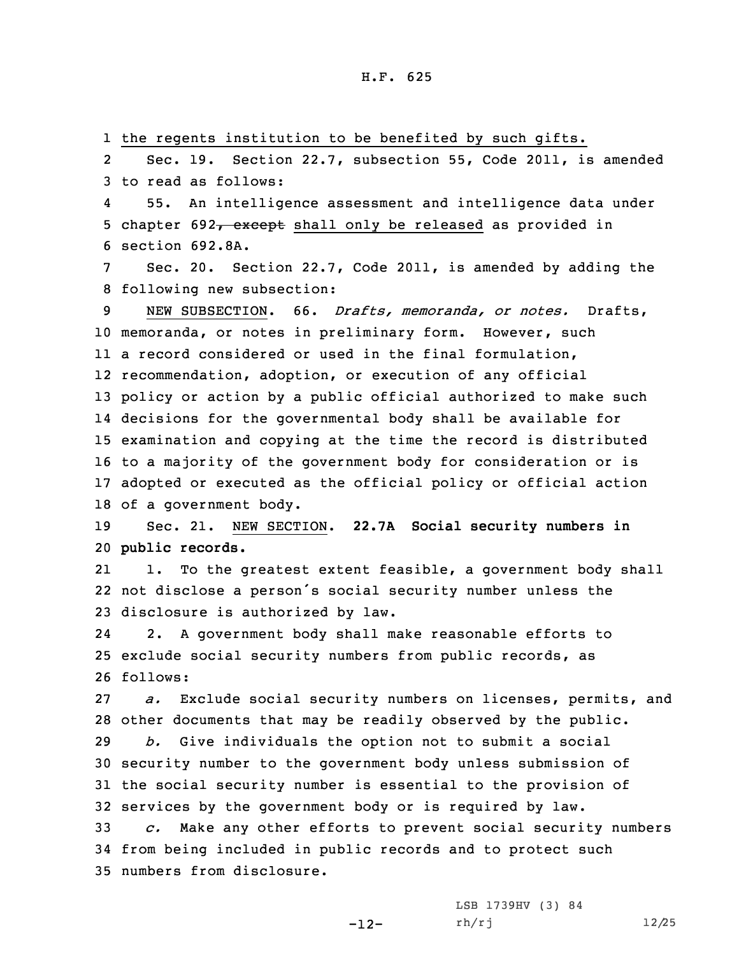1 the regents institution to be benefited by such gifts.

2 Sec. 19. Section 22.7, subsection 55, Code 2011, is amended 3 to read as follows:

4 55. An intelligence assessment and intelligence data under 5 chapter 692, except shall only be released as provided in 6 section 692.8A.

Sec. 20. Section 22.7, Code 2011, is amended by adding the 8 following new subsection:

 NEW SUBSECTION. 66. *Drafts, memoranda, or notes.* Drafts, memoranda, or notes in preliminary form. However, such <sup>a</sup> record considered or used in the final formulation, recommendation, adoption, or execution of any official policy or action by <sup>a</sup> public official authorized to make such decisions for the governmental body shall be available for examination and copying at the time the record is distributed to <sup>a</sup> majority of the government body for consideration or is adopted or executed as the official policy or official action of <sup>a</sup> government body.

19 Sec. 21. NEW SECTION. **22.7A Social security numbers in** 20 **public records.**

21 1. To the greatest extent feasible, <sup>a</sup> government body shall 22 not disclose <sup>a</sup> person's social security number unless the 23 disclosure is authorized by law.

24 2. <sup>A</sup> government body shall make reasonable efforts to 25 exclude social security numbers from public records, as 26 follows:

27 *a.* Exclude social security numbers on licenses, permits, and 28 other documents that may be readily observed by the public.

 *b.* Give individuals the option not to submit <sup>a</sup> social security number to the government body unless submission of the social security number is essential to the provision of services by the government body or is required by law.

33 *c.* Make any other efforts to prevent social security numbers 34 from being included in public records and to protect such 35 numbers from disclosure.

> LSB 1739HV (3) 84 rh/rj 12/25

-12-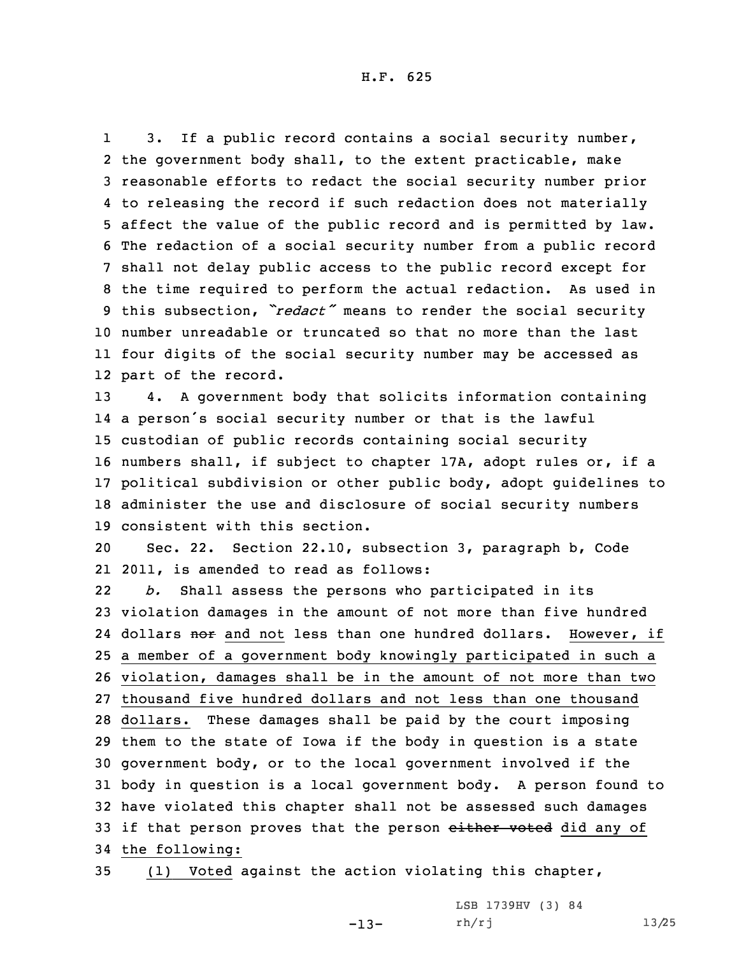1 3. If <sup>a</sup> public record contains <sup>a</sup> social security number, the government body shall, to the extent practicable, make reasonable efforts to redact the social security number prior to releasing the record if such redaction does not materially affect the value of the public record and is permitted by law. The redaction of <sup>a</sup> social security number from <sup>a</sup> public record shall not delay public access to the public record except for the time required to perform the actual redaction. As used in this subsection, *"redact"* means to render the social security number unreadable or truncated so that no more than the last four digits of the social security number may be accessed as part of the record.

 4. <sup>A</sup> government body that solicits information containing <sup>a</sup> person's social security number or that is the lawful custodian of public records containing social security numbers shall, if subject to chapter 17A, adopt rules or, if <sup>a</sup> political subdivision or other public body, adopt guidelines to administer the use and disclosure of social security numbers consistent with this section.

20 Sec. 22. Section 22.10, subsection 3, paragraph b, Code 21 2011, is amended to read as follows:

22 *b.* Shall assess the persons who participated in its violation damages in the amount of not more than five hundred 24 dollars <del>nor</del> and not less than one hundred dollars. However, if <sup>a</sup> member of <sup>a</sup> government body knowingly participated in such <sup>a</sup> violation, damages shall be in the amount of not more than two thousand five hundred dollars and not less than one thousand dollars. These damages shall be paid by the court imposing them to the state of Iowa if the body in question is <sup>a</sup> state government body, or to the local government involved if the body in question is <sup>a</sup> local government body. <sup>A</sup> person found to have violated this chapter shall not be assessed such damages 33 if that person proves that the person either voted did any of the following:

35 (1) Voted against the action violating this chapter,

-13-

LSB 1739HV (3) 84 rh/rj 13/25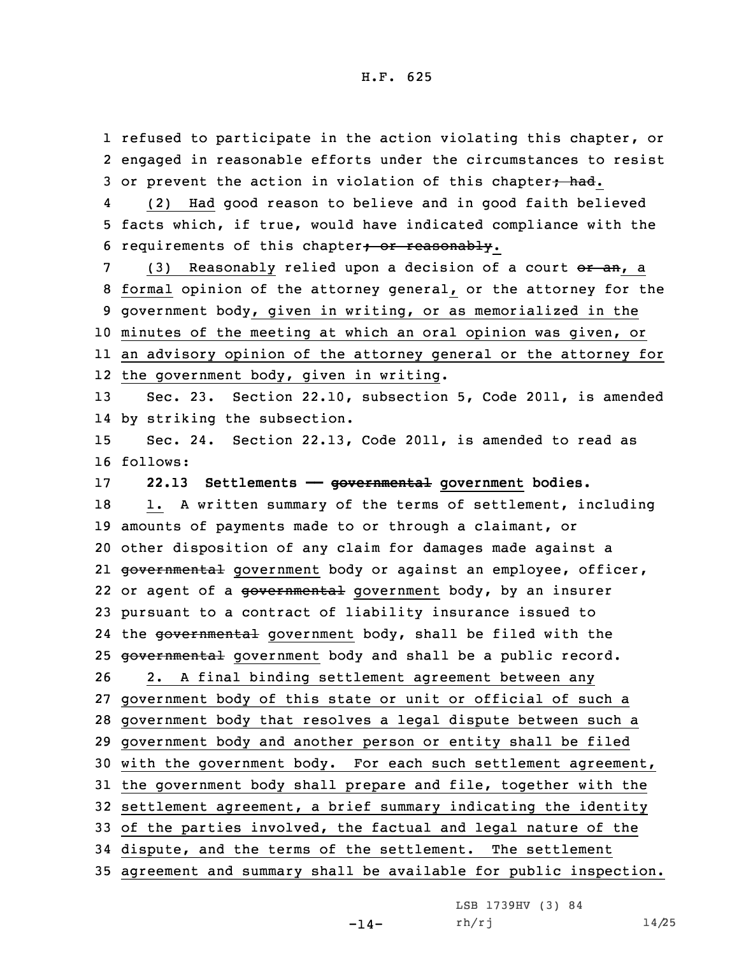1 refused to participate in the action violating this chapter, or 2 engaged in reasonable efforts under the circumstances to resist 3 or prevent the action in violation of this chapter; had.

4 (2) Had good reason to believe and in good faith believed 5 facts which, if true, would have indicated compliance with the 6 requirements of this chapter; or reasonably.

7 (3) Reasonably relied upon a decision of a court or an, a formal opinion of the attorney general, or the attorney for the government body, given in writing, or as memorialized in the minutes of the meeting at which an oral opinion was given, or an advisory opinion of the attorney general or the attorney for the government body, given in writing.

13 Sec. 23. Section 22.10, subsection 5, Code 2011, is amended 14 by striking the subsection.

15 Sec. 24. Section 22.13, Code 2011, is amended to read as 16 follows:

17 **22.13 Settlements —— governmental government bodies.**

18 1. A written summary of the terms of settlement, including amounts of payments made to or through <sup>a</sup> claimant, or other disposition of any claim for damages made against <sup>a</sup> governmental government body or against an employee, officer, 22 or agent of a <del>governmental</del> government body, by an insurer pursuant to <sup>a</sup> contract of liability insurance issued to 24 the <del>governmental</del> government body, shall be filed with the 25 governmental government body and shall be a public record. 2. <sup>A</sup> final binding settlement agreement between any government body of this state or unit or official of such <sup>a</sup> government body that resolves <sup>a</sup> legal dispute between such <sup>a</sup> government body and another person or entity shall be filed with the government body. For each such settlement agreement, the government body shall prepare and file, together with the settlement agreement, <sup>a</sup> brief summary indicating the identity of the parties involved, the factual and legal nature of the dispute, and the terms of the settlement. The settlement

35 agreement and summary shall be available for public inspection.

LSB 1739HV (3) 84

 $rh/rj$  14/25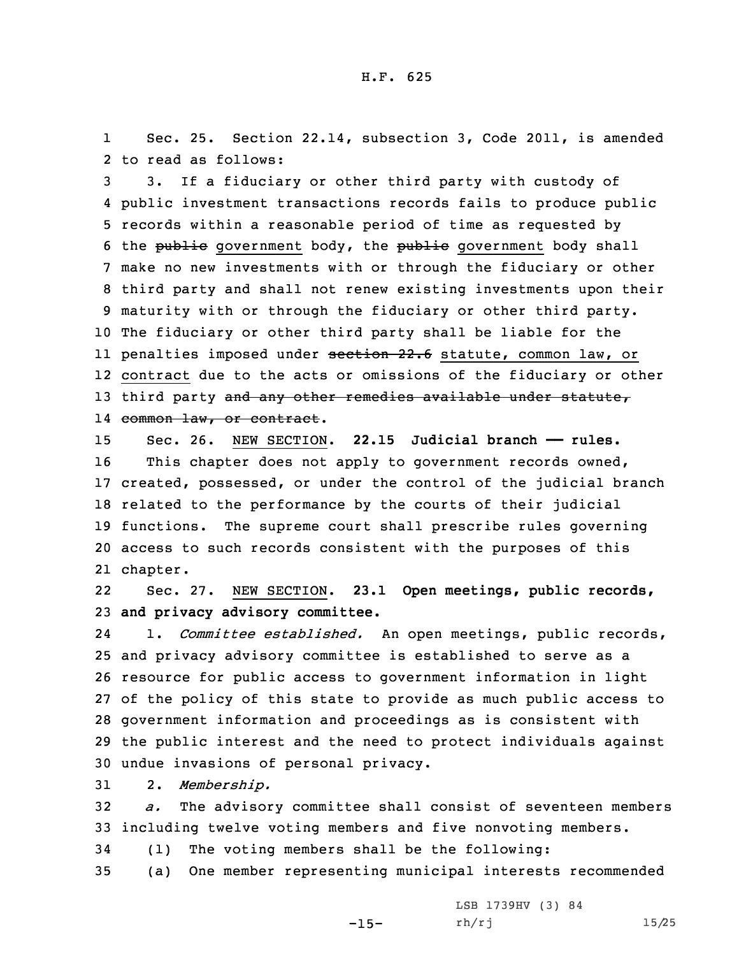1 Sec. 25. Section 22.14, subsection 3, Code 2011, is amended 2 to read as follows:

 3. If <sup>a</sup> fiduciary or other third party with custody of public investment transactions records fails to produce public records within <sup>a</sup> reasonable period of time as requested by 6 the public government body, the public government body shall make no new investments with or through the fiduciary or other third party and shall not renew existing investments upon their maturity with or through the fiduciary or other third party. The fiduciary or other third party shall be liable for the ll penalties imposed under <del>section 22.6</del> statute, common law, or contract due to the acts or omissions of the fiduciary or other 13 third party and any other remedies available under statute, common law, or contract.

 Sec. 26. NEW SECTION. **22.15 Judicial branch —— rules.** This chapter does not apply to government records owned, created, possessed, or under the control of the judicial branch related to the performance by the courts of their judicial functions. The supreme court shall prescribe rules governing access to such records consistent with the purposes of this 21 chapter.

22 Sec. 27. NEW SECTION. **23.1 Open meetings, public records,** 23 **and privacy advisory committee.**

24 1. *Committee established.* An open meetings, public records, and privacy advisory committee is established to serve as <sup>a</sup> resource for public access to government information in light of the policy of this state to provide as much public access to government information and proceedings as is consistent with the public interest and the need to protect individuals against undue invasions of personal privacy.

31 2. *Membership.*

32 *a.* The advisory committee shall consist of seventeen members 33 including twelve voting members and five nonvoting members.

34 (1) The voting members shall be the following:

35 (a) One member representing municipal interests recommended

-15-

```
LSB 1739HV (3) 84
rh/rj 15/25
```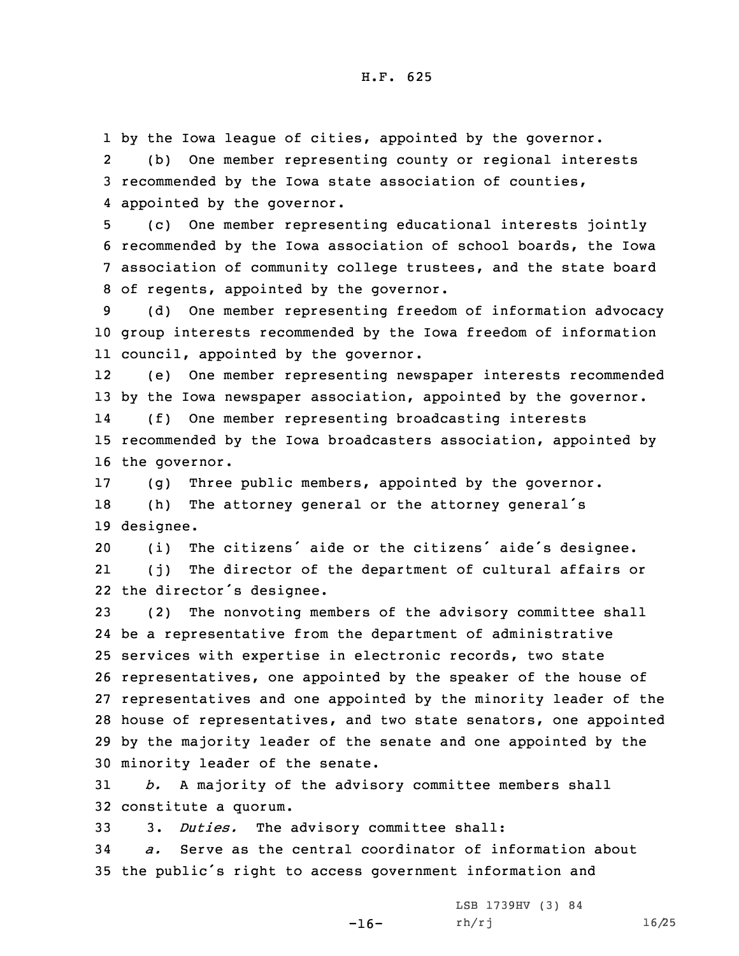1 by the Iowa league of cities, appointed by the governor. 2(b) One member representing county or regional interests

3 recommended by the Iowa state association of counties, 4 appointed by the governor.

 (c) One member representing educational interests jointly recommended by the Iowa association of school boards, the Iowa association of community college trustees, and the state board of regents, appointed by the governor.

9 (d) One member representing freedom of information advocacy 10 group interests recommended by the Iowa freedom of information 11 council, appointed by the governor.

12 (e) One member representing newspaper interests recommended 13 by the Iowa newspaper association, appointed by the governor. 14 (f) One member representing broadcasting interests 15 recommended by the Iowa broadcasters association, appointed by 16 the governor.

17 (g) Three public members, appointed by the governor. <sup>18</sup> (h) The attorney general or the attorney general's 19 designee.

<sup>20</sup> (i) The citizens' aide or the citizens' aide's designee. 21 (j) The director of the department of cultural affairs or 22 the director's designee.

 (2) The nonvoting members of the advisory committee shall be <sup>a</sup> representative from the department of administrative services with expertise in electronic records, two state representatives, one appointed by the speaker of the house of representatives and one appointed by the minority leader of the house of representatives, and two state senators, one appointed by the majority leader of the senate and one appointed by the minority leader of the senate.

31 *b.* <sup>A</sup> majority of the advisory committee members shall 32 constitute <sup>a</sup> quorum.

33 3. *Duties.* The advisory committee shall:

34 *a.* Serve as the central coordinator of information about <sup>35</sup> the public's right to access government information and

-16-

LSB 1739HV (3) 84 rh/rj 16/25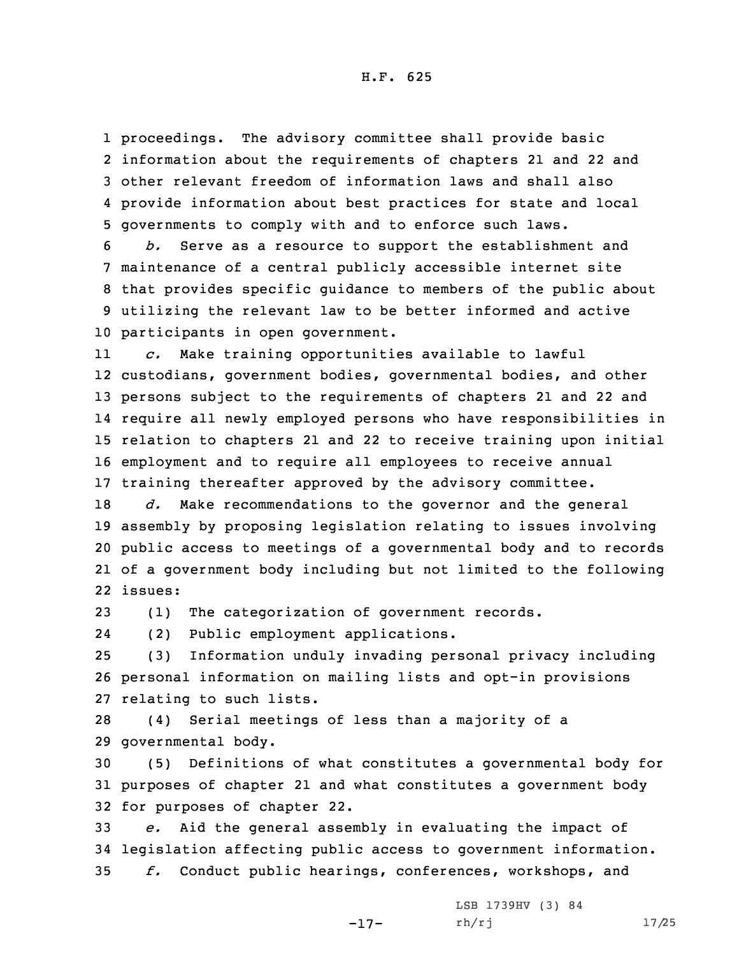H.F. 625

 proceedings. The advisory committee shall provide basic information about the requirements of chapters 21 and 22 and other relevant freedom of information laws and shall also provide information about best practices for state and local governments to comply with and to enforce such laws.

 *b.* Serve as <sup>a</sup> resource to support the establishment and maintenance of <sup>a</sup> central publicly accessible internet site that provides specific guidance to members of the public about utilizing the relevant law to be better informed and active participants in open government.

11 *c.* Make training opportunities available to lawful custodians, government bodies, governmental bodies, and other persons subject to the requirements of chapters 21 and 22 and require all newly employed persons who have responsibilities in relation to chapters 21 and 22 to receive training upon initial employment and to require all employees to receive annual training thereafter approved by the advisory committee.

 *d.* Make recommendations to the governor and the general assembly by proposing legislation relating to issues involving public access to meetings of <sup>a</sup> governmental body and to records of <sup>a</sup> government body including but not limited to the following 22 issues:

23 (1) The categorization of government records.

24(2) Public employment applications.

25 (3) Information unduly invading personal privacy including 26 personal information on mailing lists and opt-in provisions 27 relating to such lists.

28 (4) Serial meetings of less than <sup>a</sup> majority of <sup>a</sup> 29 governmental body.

30 (5) Definitions of what constitutes <sup>a</sup> governmental body for 31 purposes of chapter 21 and what constitutes <sup>a</sup> government body 32 for purposes of chapter 22.

33 *e.* Aid the general assembly in evaluating the impact of 34 legislation affecting public access to government information. 35 *f.* Conduct public hearings, conferences, workshops, and

-17-

LSB 1739HV (3) 84 rh/rj 17/25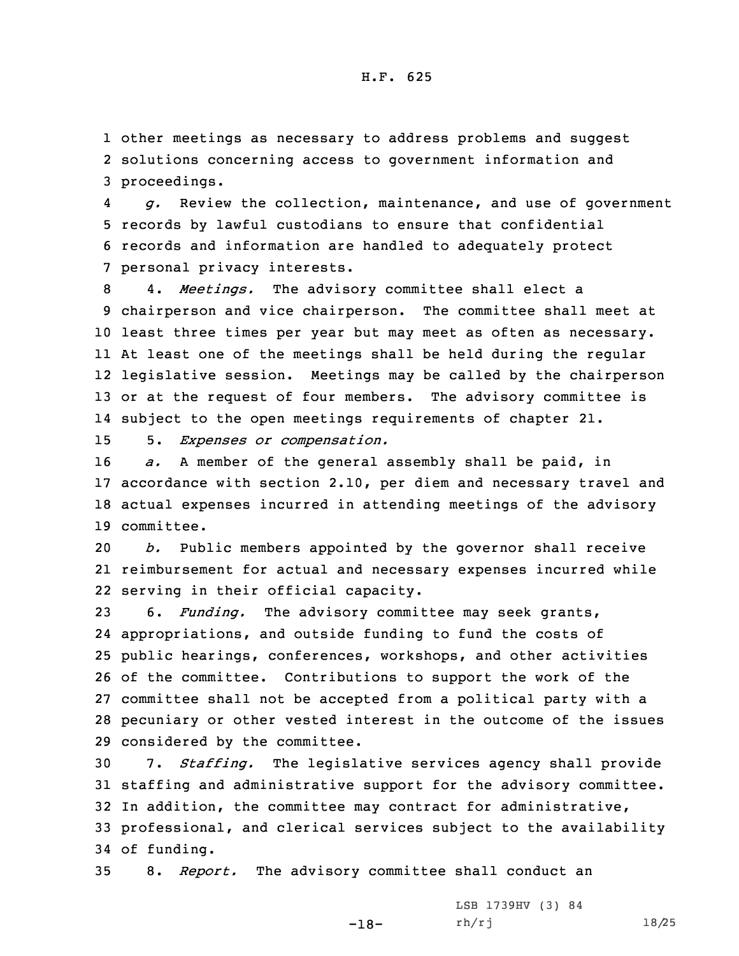1 other meetings as necessary to address problems and suggest 2 solutions concerning access to government information and 3 proceedings.

4 *g.* Review the collection, maintenance, and use of government 5 records by lawful custodians to ensure that confidential 6 records and information are handled to adequately protect 7 personal privacy interests.

 4. *Meetings.* The advisory committee shall elect <sup>a</sup> chairperson and vice chairperson. The committee shall meet at least three times per year but may meet as often as necessary. At least one of the meetings shall be held during the regular legislative session. Meetings may be called by the chairperson 13 or at the request of four members. The advisory committee is subject to the open meetings requirements of chapter 21.

15 5. *Expenses or compensation.*

 *a.* <sup>A</sup> member of the general assembly shall be paid, in accordance with section 2.10, per diem and necessary travel and actual expenses incurred in attending meetings of the advisory committee.

20 *b.* Public members appointed by the governor shall receive 21 reimbursement for actual and necessary expenses incurred while 22 serving in their official capacity.

 6. *Funding.* The advisory committee may seek grants, appropriations, and outside funding to fund the costs of public hearings, conferences, workshops, and other activities of the committee. Contributions to support the work of the committee shall not be accepted from <sup>a</sup> political party with <sup>a</sup> pecuniary or other vested interest in the outcome of the issues considered by the committee.

 7. *Staffing.* The legislative services agency shall provide staffing and administrative support for the advisory committee. In addition, the committee may contract for administrative, professional, and clerical services subject to the availability of funding.

35 8. *Report.* The advisory committee shall conduct an

-18-

LSB 1739HV (3) 84 rh/rj 18/25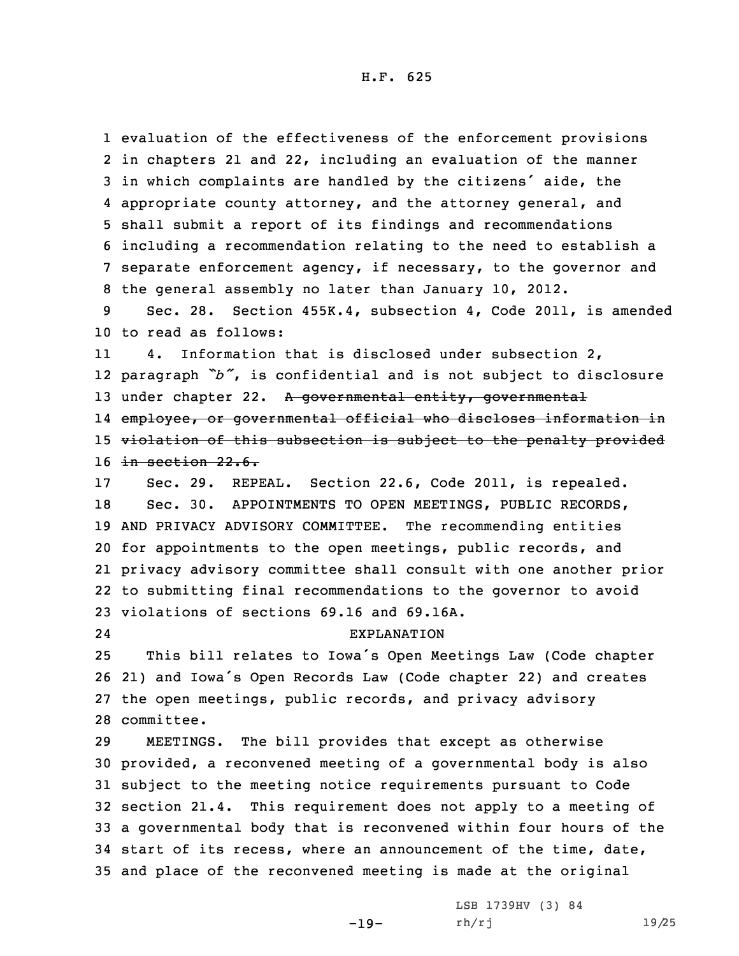evaluation of the effectiveness of the enforcement provisions in chapters 21 and 22, including an evaluation of the manner in which complaints are handled by the citizens' aide, the appropriate county attorney, and the attorney general, and shall submit <sup>a</sup> report of its findings and recommendations including <sup>a</sup> recommendation relating to the need to establish <sup>a</sup> separate enforcement agency, if necessary, to the governor and the general assembly no later than January 10, 2012.

9 Sec. 28. Section 455K.4, subsection 4, Code 2011, is amended 10 to read as follows:

11 4. Information that is disclosed under subsection 2, 12 paragraph *"b"*, is confidential and is not subject to disclosure 13 under chapter 22. A governmental entity, governmental 14 employee, or governmental official who discloses information in 15 violation of this subsection is subject to the penalty provided 16 in section 22.6.

 Sec. 29. REPEAL. Section 22.6, Code 2011, is repealed. Sec. 30. APPOINTMENTS TO OPEN MEETINGS, PUBLIC RECORDS, AND PRIVACY ADVISORY COMMITTEE. The recommending entities for appointments to the open meetings, public records, and privacy advisory committee shall consult with one another prior to submitting final recommendations to the governor to avoid violations of sections 69.16 and 69.16A.

24

## EXPLANATION

 This bill relates to Iowa's Open Meetings Law (Code chapter 21) and Iowa's Open Records Law (Code chapter 22) and creates the open meetings, public records, and privacy advisory committee.

 MEETINGS. The bill provides that except as otherwise provided, <sup>a</sup> reconvened meeting of <sup>a</sup> governmental body is also subject to the meeting notice requirements pursuant to Code section 21.4. This requirement does not apply to <sup>a</sup> meeting of <sup>a</sup> governmental body that is reconvened within four hours of the start of its recess, where an announcement of the time, date, and place of the reconvened meeting is made at the original

-19-

LSB 1739HV (3) 84 rh/rj 19/25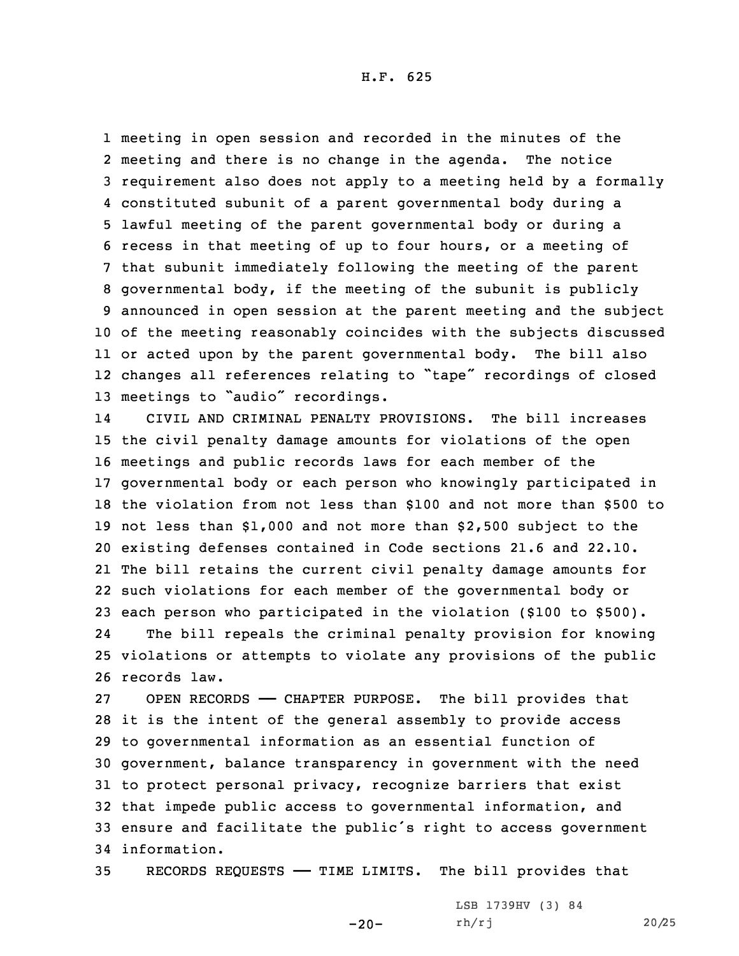H.F. 625

 meeting in open session and recorded in the minutes of the meeting and there is no change in the agenda. The notice requirement also does not apply to <sup>a</sup> meeting held by <sup>a</sup> formally constituted subunit of <sup>a</sup> parent governmental body during <sup>a</sup> lawful meeting of the parent governmental body or during <sup>a</sup> recess in that meeting of up to four hours, or <sup>a</sup> meeting of that subunit immediately following the meeting of the parent governmental body, if the meeting of the subunit is publicly announced in open session at the parent meeting and the subject of the meeting reasonably coincides with the subjects discussed or acted upon by the parent governmental body. The bill also changes all references relating to "tape" recordings of closed meetings to "audio" recordings.

14 CIVIL AND CRIMINAL PENALTY PROVISIONS. The bill increases the civil penalty damage amounts for violations of the open meetings and public records laws for each member of the governmental body or each person who knowingly participated in the violation from not less than \$100 and not more than \$500 to not less than \$1,000 and not more than \$2,500 subject to the existing defenses contained in Code sections 21.6 and 22.10. The bill retains the current civil penalty damage amounts for such violations for each member of the governmental body or each person who participated in the violation (\$100 to \$500). 24 The bill repeals the criminal penalty provision for knowing violations or attempts to violate any provisions of the public records law.

 OPEN RECORDS —— CHAPTER PURPOSE. The bill provides that it is the intent of the general assembly to provide access to governmental information as an essential function of government, balance transparency in government with the need to protect personal privacy, recognize barriers that exist that impede public access to governmental information, and ensure and facilitate the public's right to access government information.

35 RECORDS REQUESTS —— TIME LIMITS. The bill provides that

-20-

LSB 1739HV (3) 84 rh/rj 20/25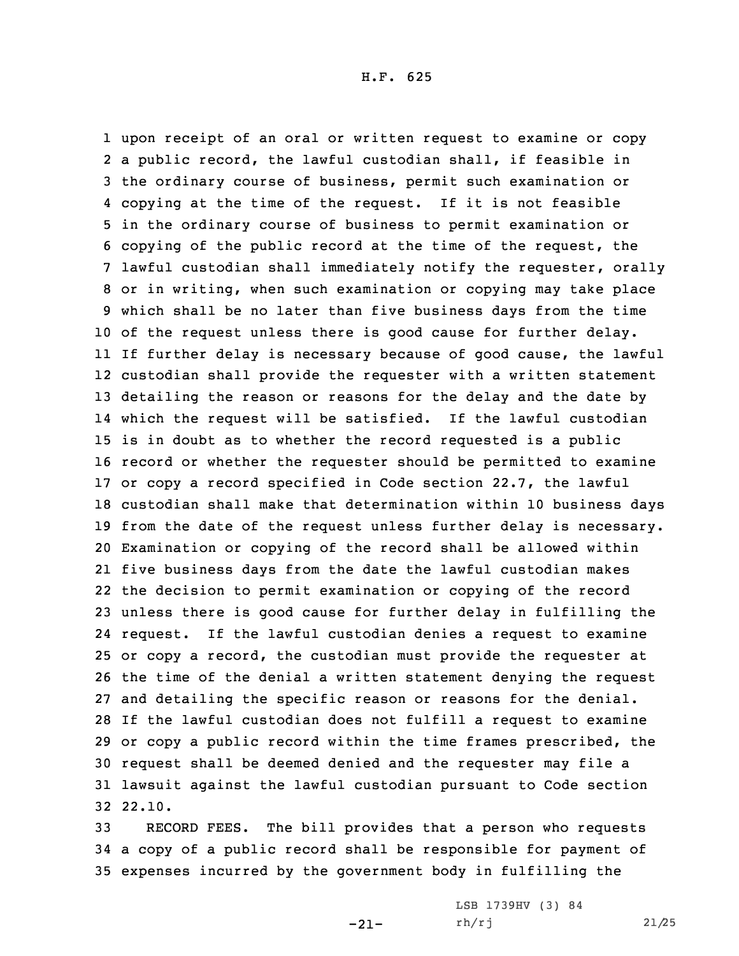upon receipt of an oral or written request to examine or copy <sup>a</sup> public record, the lawful custodian shall, if feasible in the ordinary course of business, permit such examination or copying at the time of the request. If it is not feasible in the ordinary course of business to permit examination or copying of the public record at the time of the request, the lawful custodian shall immediately notify the requester, orally or in writing, when such examination or copying may take place which shall be no later than five business days from the time of the request unless there is good cause for further delay. If further delay is necessary because of good cause, the lawful custodian shall provide the requester with <sup>a</sup> written statement detailing the reason or reasons for the delay and the date by which the request will be satisfied. If the lawful custodian is in doubt as to whether the record requested is <sup>a</sup> public record or whether the requester should be permitted to examine or copy <sup>a</sup> record specified in Code section 22.7, the lawful custodian shall make that determination within 10 business days from the date of the request unless further delay is necessary. Examination or copying of the record shall be allowed within five business days from the date the lawful custodian makes the decision to permit examination or copying of the record unless there is good cause for further delay in fulfilling the request. If the lawful custodian denies <sup>a</sup> request to examine or copy <sup>a</sup> record, the custodian must provide the requester at the time of the denial <sup>a</sup> written statement denying the request and detailing the specific reason or reasons for the denial. If the lawful custodian does not fulfill <sup>a</sup> request to examine or copy <sup>a</sup> public record within the time frames prescribed, the request shall be deemed denied and the requester may file <sup>a</sup> lawsuit against the lawful custodian pursuant to Code section 32 22.10.

33 RECORD FEES. The bill provides that <sup>a</sup> person who requests 34 <sup>a</sup> copy of <sup>a</sup> public record shall be responsible for payment of 35 expenses incurred by the government body in fulfilling the

-21-

LSB 1739HV (3) 84 rh/rj 21/25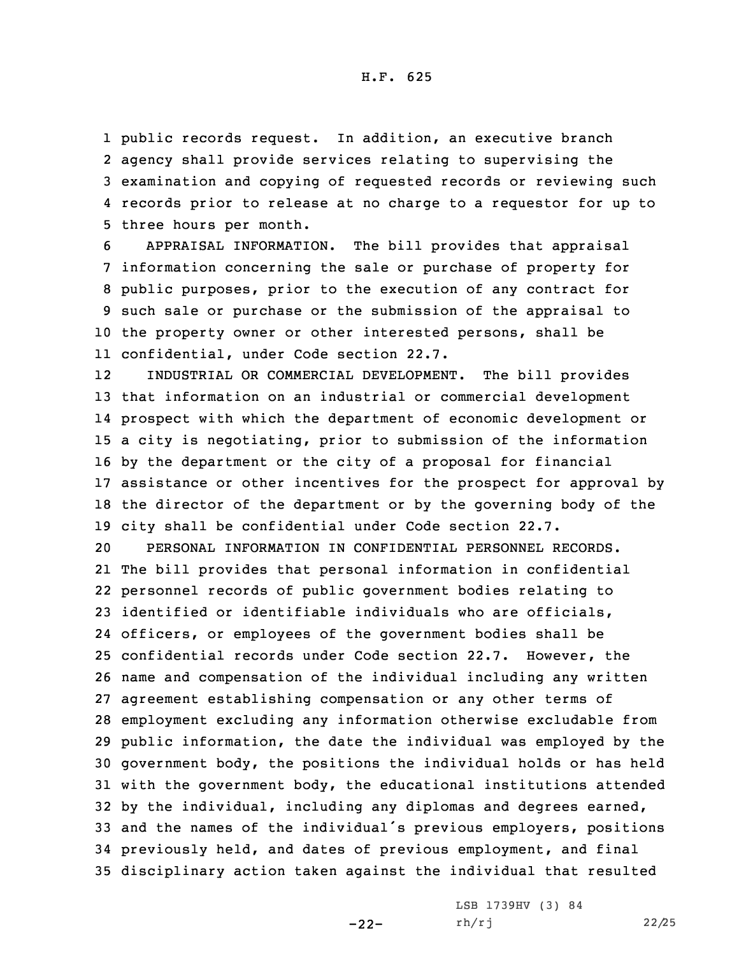public records request. In addition, an executive branch agency shall provide services relating to supervising the examination and copying of requested records or reviewing such records prior to release at no charge to <sup>a</sup> requestor for up to three hours per month.

 APPRAISAL INFORMATION. The bill provides that appraisal information concerning the sale or purchase of property for public purposes, prior to the execution of any contract for such sale or purchase or the submission of the appraisal to the property owner or other interested persons, shall be confidential, under Code section 22.7.

12 INDUSTRIAL OR COMMERCIAL DEVELOPMENT. The bill provides that information on an industrial or commercial development prospect with which the department of economic development or <sup>a</sup> city is negotiating, prior to submission of the information by the department or the city of <sup>a</sup> proposal for financial assistance or other incentives for the prospect for approval by the director of the department or by the governing body of the city shall be confidential under Code section 22.7.

 PERSONAL INFORMATION IN CONFIDENTIAL PERSONNEL RECORDS. The bill provides that personal information in confidential personnel records of public government bodies relating to identified or identifiable individuals who are officials, officers, or employees of the government bodies shall be confidential records under Code section 22.7. However, the name and compensation of the individual including any written agreement establishing compensation or any other terms of employment excluding any information otherwise excludable from public information, the date the individual was employed by the government body, the positions the individual holds or has held with the government body, the educational institutions attended by the individual, including any diplomas and degrees earned, and the names of the individual's previous employers, positions previously held, and dates of previous employment, and final disciplinary action taken against the individual that resulted

-22-

LSB 1739HV (3) 84 rh/rj 22/25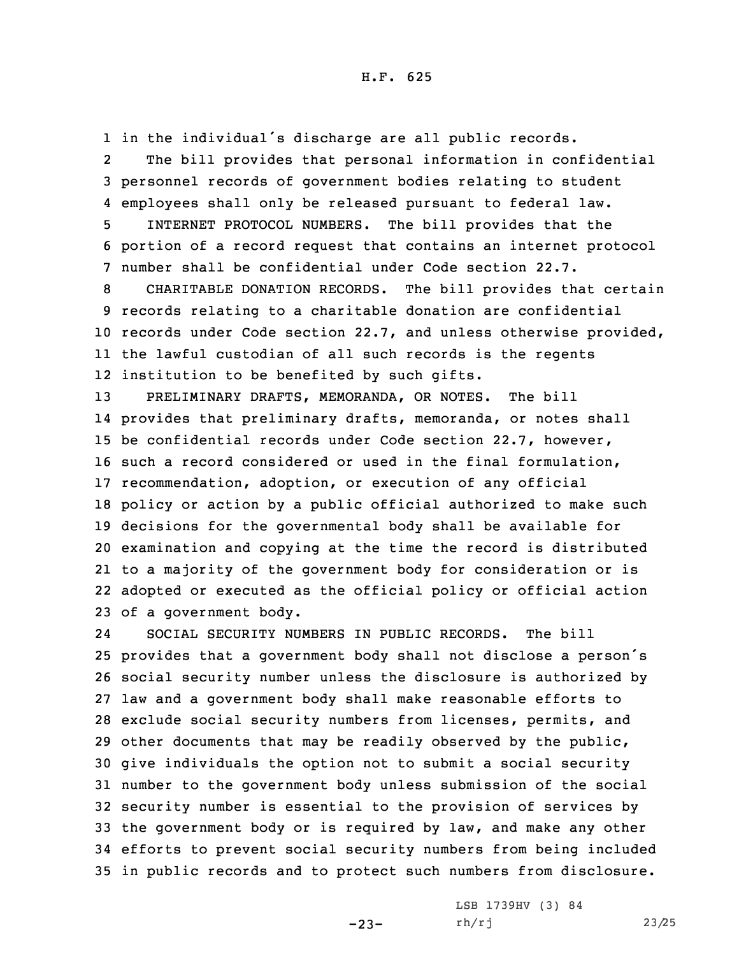1 in the individual's discharge are all public records.

2 The bill provides that personal information in confidential 3 personnel records of government bodies relating to student 4 employees shall only be released pursuant to federal law.

5 INTERNET PROTOCOL NUMBERS. The bill provides that the 6 portion of <sup>a</sup> record request that contains an internet protocol 7 number shall be confidential under Code section 22.7.

 CHARITABLE DONATION RECORDS. The bill provides that certain records relating to <sup>a</sup> charitable donation are confidential records under Code section 22.7, and unless otherwise provided, the lawful custodian of all such records is the regents institution to be benefited by such gifts.

 PRELIMINARY DRAFTS, MEMORANDA, OR NOTES. The bill provides that preliminary drafts, memoranda, or notes shall be confidential records under Code section 22.7, however, such <sup>a</sup> record considered or used in the final formulation, recommendation, adoption, or execution of any official policy or action by <sup>a</sup> public official authorized to make such decisions for the governmental body shall be available for examination and copying at the time the record is distributed to <sup>a</sup> majority of the government body for consideration or is adopted or executed as the official policy or official action of <sup>a</sup> government body.

24 SOCIAL SECURITY NUMBERS IN PUBLIC RECORDS. The bill provides that <sup>a</sup> government body shall not disclose <sup>a</sup> person's social security number unless the disclosure is authorized by law and <sup>a</sup> government body shall make reasonable efforts to exclude social security numbers from licenses, permits, and other documents that may be readily observed by the public, give individuals the option not to submit <sup>a</sup> social security number to the government body unless submission of the social security number is essential to the provision of services by the government body or is required by law, and make any other efforts to prevent social security numbers from being included in public records and to protect such numbers from disclosure.

-23-

LSB 1739HV (3) 84 rh/rj 23/25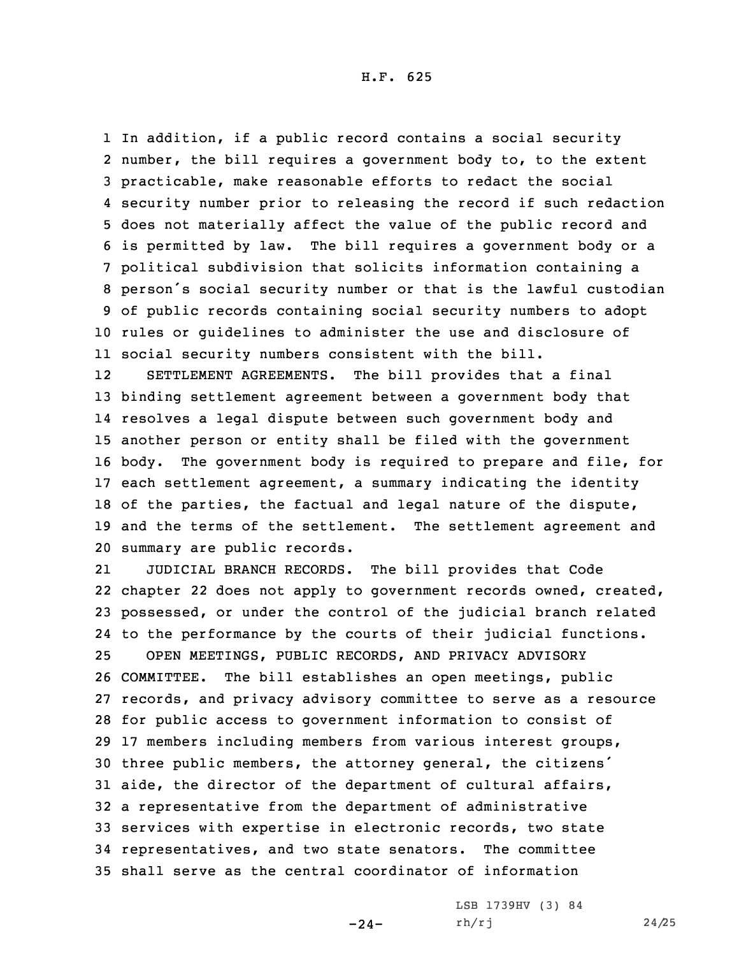In addition, if <sup>a</sup> public record contains <sup>a</sup> social security number, the bill requires <sup>a</sup> government body to, to the extent practicable, make reasonable efforts to redact the social security number prior to releasing the record if such redaction does not materially affect the value of the public record and is permitted by law. The bill requires <sup>a</sup> government body or <sup>a</sup> political subdivision that solicits information containing <sup>a</sup> person's social security number or that is the lawful custodian of public records containing social security numbers to adopt rules or guidelines to administer the use and disclosure of social security numbers consistent with the bill.

12 SETTLEMENT AGREEMENTS. The bill provides that <sup>a</sup> final binding settlement agreement between <sup>a</sup> government body that resolves <sup>a</sup> legal dispute between such government body and another person or entity shall be filed with the government body. The government body is required to prepare and file, for each settlement agreement, <sup>a</sup> summary indicating the identity of the parties, the factual and legal nature of the dispute, and the terms of the settlement. The settlement agreement and summary are public records.

21 JUDICIAL BRANCH RECORDS. The bill provides that Code chapter 22 does not apply to government records owned, created, possessed, or under the control of the judicial branch related to the performance by the courts of their judicial functions. OPEN MEETINGS, PUBLIC RECORDS, AND PRIVACY ADVISORY COMMITTEE. The bill establishes an open meetings, public records, and privacy advisory committee to serve as <sup>a</sup> resource for public access to government information to consist of 17 members including members from various interest groups, three public members, the attorney general, the citizens' aide, the director of the department of cultural affairs, <sup>a</sup> representative from the department of administrative services with expertise in electronic records, two state representatives, and two state senators. The committee shall serve as the central coordinator of information

-24-

LSB 1739HV (3) 84 rh/rj 24/25